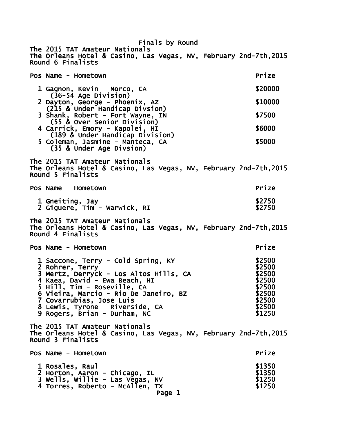Finals by Round The 2015 TAT Amateur Nationals The Orleans Hotel & Casino, Las Vegas, NV, February 2nd-7th,2015 Round 6 Finalists Pos Name - Hometown **Prize** 1 Gagnon, Kevin - Norco, CA  $$20000$  (36-54 Age Division) 2 Dayton, George - Phoenix, AZ  $$10000$  (215 & Under Handicap Divsion) 3 Shank, Robert - Fort Wayne, IN 57500 (55 & Over Senior Division) 4 Carrick, Emory - Kapolei, HI **Emory - SECOO**  (189 & Under Handicap Division) 5 Coleman, Jasmine - Manteca, CA **Exercía e Santo S5000**  (35 & Under Age Divsion) The 2015 TAT Amateur Nationals The Orleans Hotel & Casino, Las Vegas, NV, February 2nd-7th,2015 Round 5 Finalists Pos Name - Hometown **Prize** 1 Gneiting, Jay **\$2750** 2 Giguere, Tim - Warwick, RI \$2750 The 2015 TAT Amateur Nationals The Orleans Hotel & Casino, Las Vegas, NV, February 2nd-7th,2015 Round 4 Finalists Pos Name - Hometown Prize Pos Name - Hometown Prize Prize Prize Prize Prize Prize Prize Prize Prize Prize Prize 1 Saccone, Terry - Cold Spring, KY \$2500<br>2 Rohrer. Terry 2 Rohrer, Terry **19 September 19 September 1986**<br>3 Mertz. Derryck - Los Altos Hills. CA **82500** 3 Mertz, Derryck - Los Altos Hills, CA 4 Kaea, David - Ewa Beach, HI \$2500<br>5 Hill, Tim - Roseville, CA \$2500 \$2500 5 Hill, Tim - Roseville, CA<br>6 Vieira, Marcio - Rio De Janeiro, BZ \$2500 6 Vieira, Marcio - Rio De Janeiro, BZ<br>7 Covarrubias. Jose Luis 7 Covarrubias, Jose Luis \$2 Covarrubias, \$2500 500 8 Lewis, Tyrone - Riverside, CA 9 Rogers, Brian - Durham, NC 51250 The 2015 TAT Amateur Nationals The Orleans Hotel & Casino, Las Vegas, NV, February 2nd-7th,2015 Round 3 Finalists Pos Name - Hometown **Prize**  1 Rosales, Raul \$ Rosales, \$1350 1350 2 Horton, Aaron - Chicago, IL 3 Wells, Willie - Las Vegas, NV \$1250 4 Torres, Roberto - McAllen, TX \$1250 Page 1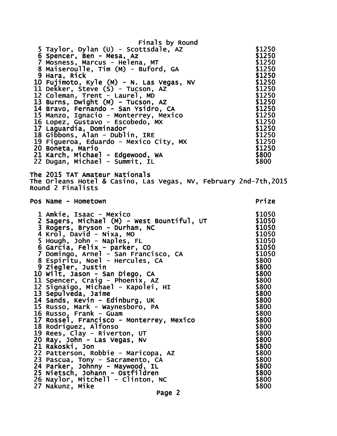| Finals by Round<br>5 Taylor, Dylan (U) - Scottsdale, AZ<br>6 Spencer, Ben - Mesa, Az<br>7 Mosness, Marcus - Helena, MT<br>8 Maiseroulle, Tim (M) - Buford, GA<br>9 Hara, Rick<br>10 Fujimoto, Kyle (M) - N. Las Vegas, NV<br>11 Dekker, Steve (S) - Tucson, AZ<br>12 Coleman, Trent - Laurel, MD<br>13 Burns, Dwight (M) - Tucson, AZ<br>14 Bravo, Fernando - San Ysidro, CA<br>15 Manzo, Ignacio - Monterrey, Mexico<br>16 Lopez, Gustavo - Escobedo, MX                                                                                                                                                                                                                                                                        | \$1250<br>\$1250<br>\$1250<br>\$1250<br>\$1250<br>\$1250<br>\$1250<br>\$1250<br>\$1250<br>\$1250<br>\$1250                                                                                                         |
|----------------------------------------------------------------------------------------------------------------------------------------------------------------------------------------------------------------------------------------------------------------------------------------------------------------------------------------------------------------------------------------------------------------------------------------------------------------------------------------------------------------------------------------------------------------------------------------------------------------------------------------------------------------------------------------------------------------------------------|--------------------------------------------------------------------------------------------------------------------------------------------------------------------------------------------------------------------|
| 17 Laguardia, Dominador<br>18 Gibbons, Alan - Dublin, IRE<br>19 Figueroa, Eduardo - Mexico City, MX<br>20 Boneta, Mario<br>21 Karch, Michael - Edgewood, WA<br>22 Dugan, Michael - Summit, IL                                                                                                                                                                                                                                                                                                                                                                                                                                                                                                                                    | \$1250<br>\$1250<br>\$1250<br>\$1250<br>\$1250<br>\$800<br>\$800                                                                                                                                                   |
| The 2015 TAT Amateur Nationals<br>The Orleans Hotel & Casino, Las Vegas, NV, February 2nd-7th, 2015<br>Round 2 Finalists                                                                                                                                                                                                                                                                                                                                                                                                                                                                                                                                                                                                         |                                                                                                                                                                                                                    |
| Pos Name - Hometown                                                                                                                                                                                                                                                                                                                                                                                                                                                                                                                                                                                                                                                                                                              | Prize                                                                                                                                                                                                              |
| 1 Amkie, Isaac - Mexico<br>2 Sagers, Michael (M) - West Bountiful, UT<br>3 Rogers, Bryson - Durham, NC<br>4 Krol, David - Nixa, MO<br>5 Hough, John - Naples, FL<br>6 Garčiá, Felix - parkér, CO<br>7 Domingo, Arnel - San Francisco, CA<br>8 Espiritu, Noel - Hercules, CA<br>9 Ziegler, Justin<br>10 Wilt, Jason - San Diego, CA<br>11 Spencer, Craig - Phoenix, AZ<br>12 Signaigo, Michael - Kapolei, HI<br>13 Sepulveda, Jaime<br>14 Sands, Kevin - Edinburg, UK<br>15 Russo, Mark - Waynesboro, PA<br>16 Russo, Frank - Guam<br>17 Rossel, Francisco - Monterrey, Mexico<br>18 Rodriguez, Alfonso<br>19 Rees, Clay - Riverton, UT<br>20 Ray, John - Las Vegas, Nv<br>21 Rakoski, Jon<br>22 Patterson, Robbie - Maricopa, AZ | \$1050<br>\$1050<br>\$1050<br>\$1050<br>\$1050<br>\$1050<br>\$1050<br>\$800<br>\$800<br>\$800<br>\$800<br>\$800<br>\$800<br>\$800<br>\$800<br>\$800<br>\$800<br>\$800<br>\$800<br>\$800<br>\$800<br>\$800<br>\$800 |
| 23 Pascua, Tony - Sacramento, CA<br>24 Parker, Johnny - Maywood, IL<br>25 Nietsch, Johann - Ostfildren<br>26 Naylor, Mitchell - Clinton, NC<br>27 Nakunz, Mike<br>Page 2                                                                                                                                                                                                                                                                                                                                                                                                                                                                                                                                                         | \$800<br>\$800<br>\$800<br>\$800                                                                                                                                                                                   |
|                                                                                                                                                                                                                                                                                                                                                                                                                                                                                                                                                                                                                                                                                                                                  |                                                                                                                                                                                                                    |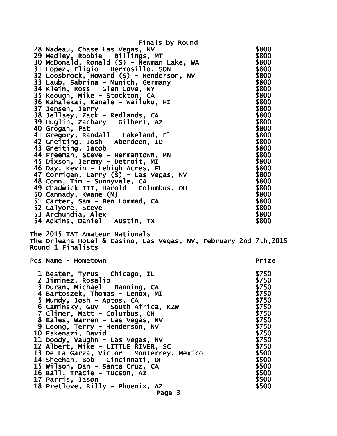Finals by Round 28 Nadeau, Chase Las Vegas, NV<br>29 Medlev. Robbie - Billings. MT \$800 29 Medley, Robbie - Billings, MT 30 McDonald, Ronald (S) - Newman Lake, WA  $\begin{array}{r} 30 & \text{McDona1d} \\ 31 & \text{Lopez, Eligio - Hermosillo, SON} \end{array}$ \$800 31 Lopez, Eligio - Hermosillo, SON \$800<br>32 Loosbrock, Howard (S) - Henderson, NV \$800  $32$  Loosbrock, Howard  $(S)$  - Henderson, NV 33 Laub, Sabrina - Munich, Germany **\$800** 34 Klein, Ross - Glen Cove, NY 19800 5800 35 Keough, Mike - Stockton, CA  $\frac{1}{35}$  Keough, Mike - Stockton, CA 36 Kahalekai, Kanale - Wailuku, HI \$800 37 Jensen, Jerry  $$800$  38 Jellsey, Zack - Redlands, CA \$800 39 Huglin, Zachary - Gilbert, AZ  $\frac{1}{8800}$  40 Grogan, Pat \$800 41 Gregory, Randall - Lakeland, Fl \$800 42 Gneiting, Josh - Aberdeen, ID \$800 43 Gneiting, Jacob \$800 44 Freeman, Steve - Hermantown, MN \$800 45 Dixson, Jeremy - Detroit, MI \$800 46 Day, Kevin - Lehigh Acres, FL \$800 47 Corrigan, Larry (S) - Las Vegas, NV \$800 48 Conn, Tim - Sunnyvale, CA  $\sim$  \$800 49 Chadwick III, Harold - Columbus, OH \$800 50 Cannady, Kwane (M) \$800 51 Carter, Sam - Ben Lommad, CA  $$800$ 52 Calyore, Steve \$800 53 Archundia, Alex \$800 54 Adkins, Daniel - Austin, TX  $$800$ The 2015 TAT Amateur Nationals The Orleans Hotel & Casino, Las Vegas, NV, February 2nd-7th,2015 Round 1 Finalists Pos Name - Hometown Name Hometown Prize 1 Bester, Tyrus - Chicago, IL \$750 2 Jiminez, Rosalio  $$750$ 3 Duran, Michael - Banning, CA  $$750$  4 Bartoszek, Thomas - Lenox, MI \$750 5 Mundy, Josh - Aptos, CA \$750 6 Caminsky, Guy - South Africa, KZW \$750 7 Climer, Matt - Columbus, OH \$750 8 Eales, Warren - Las Vegas, NV \$750 9 Leong, Terry - Henderson, NV \$750 10 Eskenazi, David<br>11 Doody. Vaughn - Las Vegas. NV \$750 11 Doody, Vaughn - Las Vegas, NV 12 Albert, Mike - LITTLE RIVER, SC \$750 13 De La Garza, Victor - Monterrey, Mexico \$500 14 Sheehan, Bob - Cincinnati, OH \$500<br>15 Wilson, Dan - Santa Cruz, CA \$500 15 Wilson, Dan - Santa Cruz, CA<br>16 Ball. Tracie - Tucson. AZ<br>16 Ball. Tracie - Tucson. AZ 16 Ball, Tracie - Tucson, AZ 17 Parris, Jason<br>18 Pretlove. Billy - Phoenix, AZ \$500 18 Pretlove, Billy - Phoenix,  $AZ$ Page 3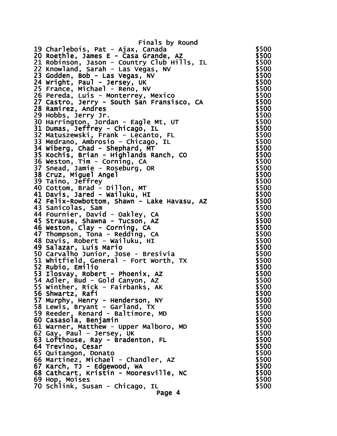Finals by Round 19 Charlebois, Pat - Ajax, Canada **19 Sharlebois**, Pat - Ajax, Canada 20 Roethle, James E - Casa Grande, AZ \$500 21 Robinson, Jason - Country Club Hills, IL \$500 22 Knowland, Sarah - Las Vegas, NV \$500 23 Godden, Bob - Las Vegas, NV<br>23 Godden, Bob - Las Vegas, NV<br>24 Wright. Paul - Jersey. UK 24 Wright, Paul - Jersey, UK 25 France, Michael - Reno, NV<br>26 Pereda, Luis - Monterrey, Mexico \$500 26 Pereda, Luis - Monterrey, Mexico 27 Castro, Jerry - South San Fransisco, CA \$500 28 Ramirez, Andres \$500 29 Hobbs, Jerry Jr.<br>30 Harrington. Jordan - Eagle Mt. UT \$500 30 Harrington, Jordan - Eagle Mt, UT \$500 31 Dumas, Jeffrey - Chicago, IL \$500 32 Matuszewski, Frank - Lecanto, FL \$500 33 Medrano, Ambrosio - Chicago, IL \$500  $34$  Wiberg, Chad - Shephard,  $MT$ 35 Kochis, Brian - Highlands Ranch, CO \$500 36 Weston, Tim - Corning, CA \$500 37 Snead, Jamie - Roseburg, OR \$500 38 Cruz, Miguel Angel \$500 39 Taino, Jeffrey 40 Cottom, Brad - Dillon, MT \$500 41 Davis, Jared - Wailuku, HI 42 Felix-Rowbottom, Shawn - Lake Havasu, AZ \$500 43 Sanicolas, Sam \$500 44 Fournier, David - Oakley, CA \$500 45 Strause, Shawna - Tucson, AZ \$500 46 Weston, Clay - Corning, CA \$500 47 Thompson, Tona - Redding, CA \$500 48 Davis, Robert - Wailuku, HI **1988** March 19800 49 Salazar, Luis Mario **\$500** \$500 50 Carvalho Junior, Jose - Bresivia \$500 51 Whitfield, General - Fort Worth, TX \$500 52 Rubio, Emilio \$500 53 Ilosvay, Robert - Phoenix, AZ \$500 54 Adler, Bud - Gold Canyon, AZ \$500 55 Winther, Rick - Fairbanks, AK \$500 56 Shwartz, Rafi 57 Murphy, Henry - Henderson, NY \$500 58 Lewis, Bryant - Garland, TX  $$500$ 59 Reeder, Renard - Baltimore, MD \$500 60 Casasola, Benjamin \$500  $$500$ 61 Warner, Matthew - Upper Malboro, MD  $$500$ 62 Gay, Paul - Jersey, UK \$500 63 Lofthouse, Ray - Bradenton, FL \$500 64 Trevino, Cesar \$500 65 Quitangon, Donato \$500 66 Martinez, Michael - Chandler, AZ \$500 67 Karch, TJ - Edgewood, WA \$500 68 Cathcart, Kristin - Mooresville, NC \$500 69 Hop, Moises \$500 70 Schlink, Susan - Chicago, IL \$500 Page 4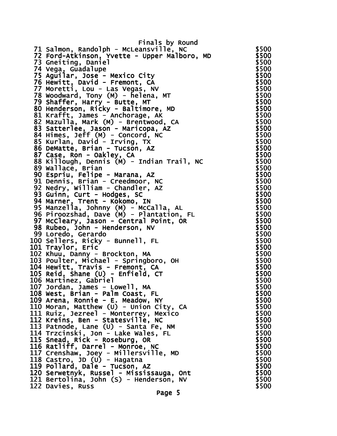Finals by Round 71 Salmon, Randolph - McLeansville, NC \$500 72 Ford-Atkinson, Yvette - Upper Malboro, MD \$500 73 Gneiting, Daniel **\$500** 74 Vega, Guadalupe \$500 \$500 \$500 \$500 \$ 75 Aguilar, Jose - Mexico City **\$500** 76 Hewitt, David - Fremont, CA  $$500$ 77 Moretti, Lou - Las Vegas, NV  $$500$ 78 Woodward, Tony (M) - helena, MT  $$500$ 79 Shaffer, Harry - Butte, MT \$500 80 Henderson, Ricky - Baltimore, MD \$500<br>81 Krafft, James - Anchorage, AK 81 Krafft, James - Anchorage, AK \$500 82 Mazulla, Mark (M) - Brentwood, CA 83 Satterlee, Jason - Maricopa, AZ \$500 84 Himes, Jeff (M) - Concord, NC \$500  $85$  Kurlan, David - Irving, TX  $$500$ 86 DeMatte, Brian - Tucson, AZ \$500 87 Case, Ron - Oakley, CA \$500 88 Killough, Dennis (M) - Indian Trail, NC \$500 89 Wallace, Brian 90 Espriu, Felipe - Marana, AZ \$500 91 Dennis, Brian - Creedmoor, NC  $$500$ 92 Nedry, William - Chandler, AZ<br>93 Guinn. Curt - Hodges. SC 93 Guinn, Curt - Hodges, SC 94 Marner, Trent - Kōkomo, IN \$500 95 Manzella, Johnny (M) - McCalla, AL \$500 96 Piroozshad, Dave (M) - Plantation, FL \$500 97 McCleary, Jason - Central Point, OR \$500<br>98 Rubeo. John - Henderson. NV \$500 98 Rubeo, John - Henderson, NV 99 Loredo, Gerardo \$500 100 Sellers, Ricky - Bunnell, FL \$500 101 Traylor, Eric \$500 102 Khuu, Danny - Brockton, MA \$500 103 Poulter, Michael - Springboro, OH \$500 104 Hewitt, Travis - Fremont, CA  $105$  Reid, Shane (U) - Enfield,  $CT$  \$500 106 Martinez, Gabriel \$500 107 Jordan, James - Lowell, MA \$500 108 West, Brian - Palm Coast, FL \$500 109 Arena, Ronnie - E. Meadow, NY \$500 110 Moran, Matthew (U) - Union City, CA \$500 111 Ruiz, Jezreel - Monterrey, Mexico 112 Kreins, Ben - Statesville, NC \$500 113 Patnode, Lane (U) - Santa Fe, NM  $$500$ 114 Trzcinski, Jon - Lake Wales, FL \$500 115 Snead, Rick - Roseburg, OR \$500 116 Ratliff, Darrel - Monroe, NC \$500 117 Crenshaw, Joey - Millersville, MD \$500 118 Castro, JD (U) - Hagatna \$500 119 Pollard, Dale - Tucson, AZ \$500 120 Serwetnyk, Russel - Mississauga, Ont \$500 121 Bertolina, John (S) - Henderson, NV  $$500$ 122 Davies, Russ \$500

Page 5